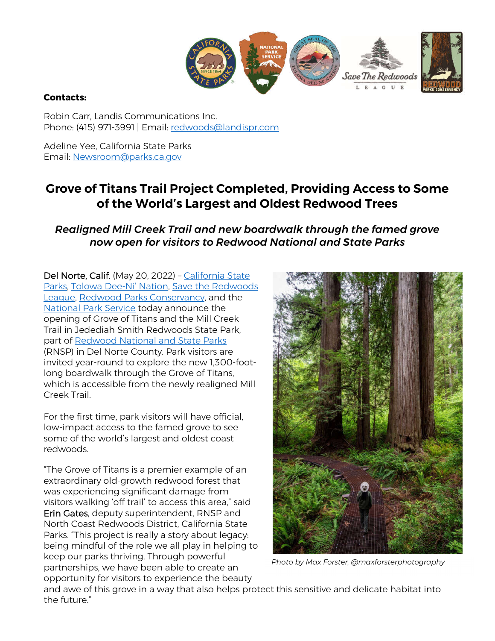

#### **Contacts:**

Robin Carr, Landis Communications Inc. Phone: (415) 971-3991 | Email: redwoods@landispr.com

Adeline Yee, California State Parks Email: Newsroom@parks.ca.gov

# **Grove of Titans Trail Project Completed, Providing Access to Some of the World's Largest and Oldest Redwood Trees**

*Realigned Mill Creek Trail and new boardwalk through the famed grove now open for visitors to Redwood National and State Parks*

Del Norte, Calif. (May 20, 2022) - California State Parks, Tolowa Dee-Ni' Nation, Save the Redwoods League, Redwood Parks Conservancy, and the National Park Service today announce the opening of Grove of Titans and the Mill Creek Trail in Jedediah Smith Redwoods State Park, part of Redwood National and State Parks (RNSP) in Del Norte County. Park visitors are invited year-round to explore the new 1,300-footlong boardwalk through the Grove of Titans, which is accessible from the newly realigned Mill Creek Trail.

For the first time, park visitors will have official, low-impact access to the famed grove to see some of the world's largest and oldest coast redwoods.

"The Grove of Titans is a premier example of an extraordinary old-growth redwood forest that was experiencing significant damage from visitors walking 'off trail' to access this area," said Erin Gates, deputy superintendent, RNSP and North Coast Redwoods District, California State Parks. "This project is really a story about legacy: being mindful of the role we all play in helping to keep our parks thriving. Through powerful partnerships, we have been able to create an opportunity for visitors to experience the beauty



*Photo by Max Forster, @maxforsterphotography*

and awe of this grove in a way that also helps protect this sensitive and delicate habitat into the future."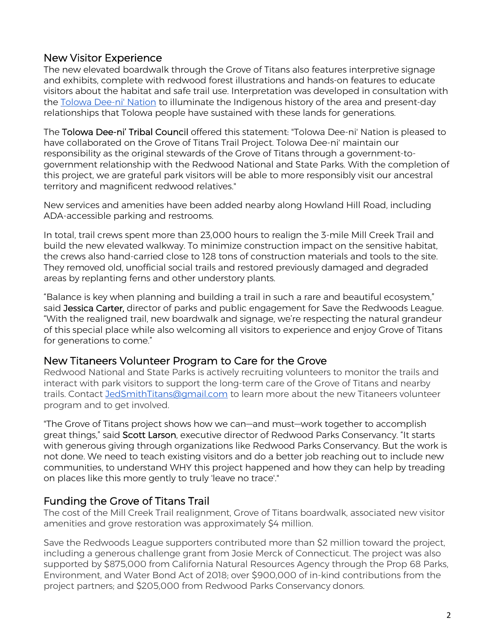### New Visitor Experience

The new elevated boardwalk through the Grove of Titans also features interpretive signage and exhibits, complete with redwood forest illustrations and hands-on features to educate visitors about the habitat and safe trail use. Interpretation was developed in consultation with the Tolowa Dee-ni' Nation to illuminate the Indigenous history of the area and present-day relationships that Tolowa people have sustained with these lands for generations.

The Tolowa Dee-ni' Tribal Council offered this statement: "Tolowa Dee-ni' Nation is pleased to have collaborated on the Grove of Titans Trail Project. Tolowa Dee-ni' maintain our responsibility as the original stewards of the Grove of Titans through a government-togovernment relationship with the Redwood National and State Parks. With the completion of this project, we are grateful park visitors will be able to more responsibly visit our ancestral territory and magnificent redwood relatives."

New services and amenities have been added nearby along Howland Hill Road, including ADA-accessible parking and restrooms.

In total, trail crews spent more than 23,000 hours to realign the 3-mile Mill Creek Trail and build the new elevated walkway. To minimize construction impact on the sensitive habitat, the crews also hand-carried close to 128 tons of construction materials and tools to the site. They removed old, unofficial social trails and restored previously damaged and degraded areas by replanting ferns and other understory plants.

"Balance is key when planning and building a trail in such a rare and beautiful ecosystem," said Jessica Carter, director of parks and public engagement for Save the Redwoods League. "With the realigned trail, new boardwalk and signage, we're respecting the natural grandeur of this special place while also welcoming all visitors to experience and enjoy Grove of Titans for generations to come."

#### New Titaneers Volunteer Program to Care for the Grove

Redwood National and State Parks is actively recruiting volunteers to monitor the trails and interact with park visitors to support the long-term care of the Grove of Titans and nearby trails. Contact JedSmithTitans@gmail.com to learn more about the new Titaneers volunteer program and to get involved.

"The Grove of Titans project shows how we can—and must—work together to accomplish great things," said Scott Larson, executive director of Redwood Parks Conservancy. "It starts with generous giving through organizations like Redwood Parks Conservancy. But the work is not done. We need to teach existing visitors and do a better job reaching out to include new communities, to understand WHY this project happened and how they can help by treading on places like this more gently to truly 'leave no trace'."

## Funding the Grove of Titans Trail

The cost of the Mill Creek Trail realignment, Grove of Titans boardwalk, associated new visitor amenities and grove restoration was approximately \$4 million.

Save the Redwoods League supporters contributed more than \$2 million toward the project, including a generous challenge grant from Josie Merck of Connecticut. The project was also supported by \$875,000 from California Natural Resources Agency through the Prop 68 Parks, Environment, and Water Bond Act of 2018; over \$900,000 of in-kind contributions from the project partners; and \$205,000 from Redwood Parks Conservancy donors.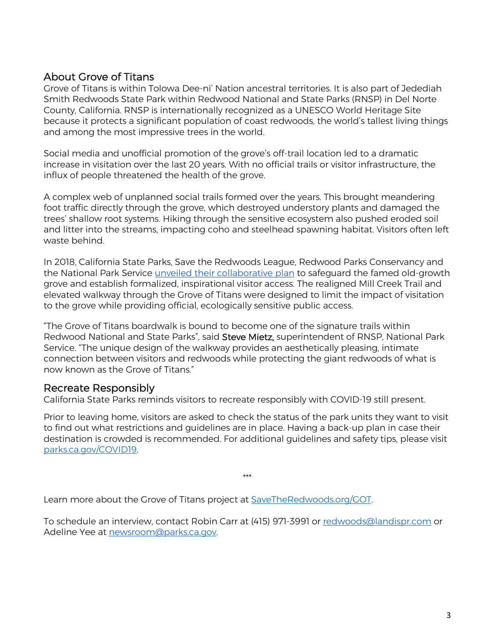## About Grove of Titans

Grove of Titans is within Tolowa Dee-ni' Nation ancestral territories. It is also part of Jedediah Smith Redwoods State Park within Redwood National and State Parks (RNSP) in Del Norte County, California. RNSP is internationally recognized as a UNESCO World Heritage Site because it protects a significant population of coast redwoods, the world's tallest living things and among the most impressive trees in the world.

Social media and unofficial promotion of the grove's off-trail location led to a dramatic increase in visitation over the last 20 years. With no official trails or visitor infrastructure, the influx of people threatened the health of the grove.

A complex web of unplanned social trails formed over the years. This brought meandering foot traffic directly through the grove, which destroyed understory plants and damaged the trees' shallow root systems. Hiking through the sensitive ecosystem also pushed eroded soil and litter into the streams, impacting coho and steelhead spawning habitat. Visitors often left waste behind.

In 2018, California State Parks, Save the Redwoods League, Redwood Parks Conservancy and the National Park Service unveiled their collaborative plan to safeguard the famed old-growth grove and establish formalized, inspirational visitor access. The realigned Mill Creek Trail and elevated walkway through the Grove of Titans were designed to limit the impact of visitation to the grove while providing official, ecologically sensitive public access.

"The Grove of Titans boardwalk is bound to become one of the signature trails within Redwood National and State Parks", said Steve Mietz, superintendent of RNSP, National Park Service. "The unique design of the walkway provides an aesthetically pleasing, intimate connection between visitors and redwoods while protecting the giant redwoods of what is now known as the Grove of Titans."

#### Recreate Responsibly

California State Parks reminds visitors to recreate responsibly with COVID-19 still present.

Prior to leaving home, visitors are asked to check the status of the park units they want to visit to find out what restrictions and guidelines are in place. Having a back-up plan in case their destination is crowded is recommended. For additional guidelines and safety tips, please visit parks.ca.gov/COVID19.

\*\*\*

Learn more about the Grove of Titans project at SaveTheRedwoods.org/GOT.

To schedule an interview, contact Robin Carr at (415) 971-3991 or redwoods@landispr.com or Adeline Yee at newsroom@parks.ca.gov.